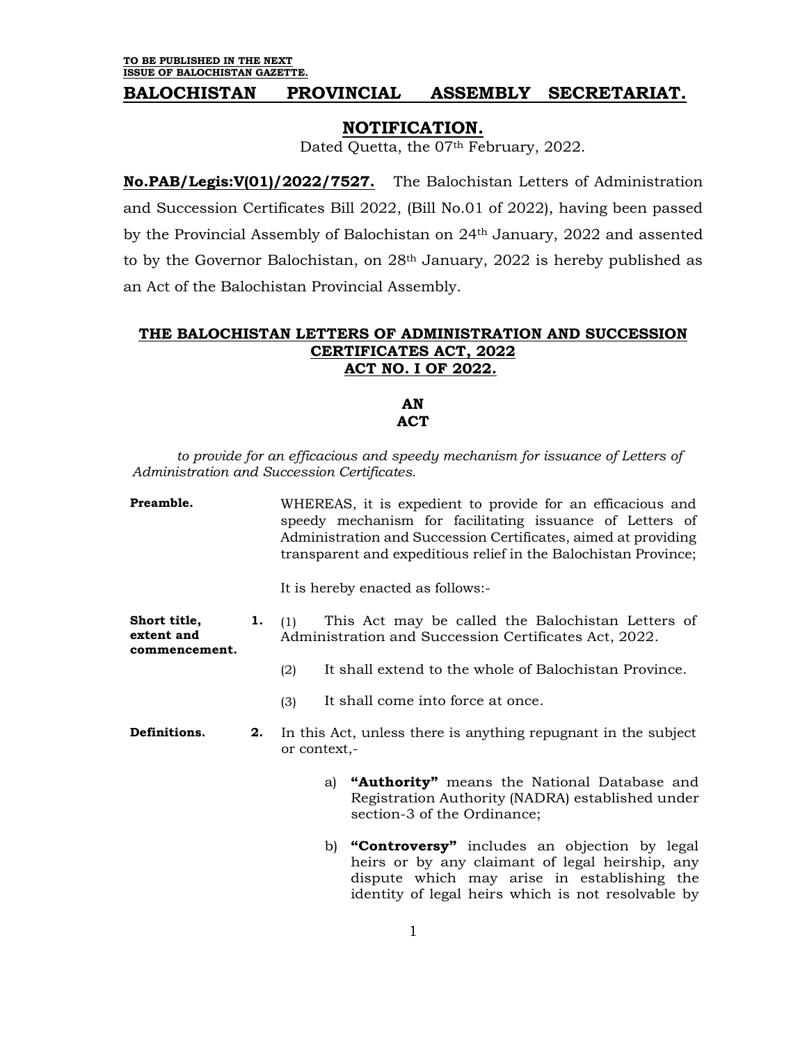## **BALOCHISTAN PROVINCIAL ASSEMBLY SECRETARIAT.**

## **NOTIFICATION.**

Dated Quetta, the 07<sup>th</sup> February, 2022.

**No.PAB/Legis:V(01)/2022/7527.** The Balochistan Letters of Administration and Succession Certificates Bill 2022, (Bill No.01 of 2022), having been passed by the Provincial Assembly of Balochistan on 24th January, 2022 and assented to by the Governor Balochistan, on 28<sup>th</sup> January, 2022 is hereby published as an Act of the Balochistan Provincial Assembly.

## **THE BALOCHISTAN LETTERS OF ADMINISTRATION AND SUCCESSION CERTIFICATES ACT, 2022 ACT NO. I OF 2022.**

**AN ACT**

to provide for an efficacious and speedy mechanism for issuance of Letters of *Administration and Succession Certificates.*

**Preamble.** WHEREAS, it is expedient to provide for an efficacious and speedy mechanism for facilitating issuance of Letters of Administration and Succession Certificates, aimed at providing transparent and expeditious relief in the Balochistan Province; It is hereby enacted as follows:- **Short title, extent and commencement. 1.** (1) This Act may be called the Balochistan Letters of Administration and Succession Certificates Act, 2022. (2) It shall extend to the whole of Balochistan Province. (3) It shall come into force at once. **Definitions. 2.** In this Act, unless there is anything repugnant in the subject or context, a) **"Authority"** means the National Database and Registration Authority (NADRA) established under section-3 of the Ordinance; b) **"Controversy"** includes an objection by legal heirs or by any claimant of legal heirship, any dispute which may arise in establishing the identity of legal heirs which is not resolvable by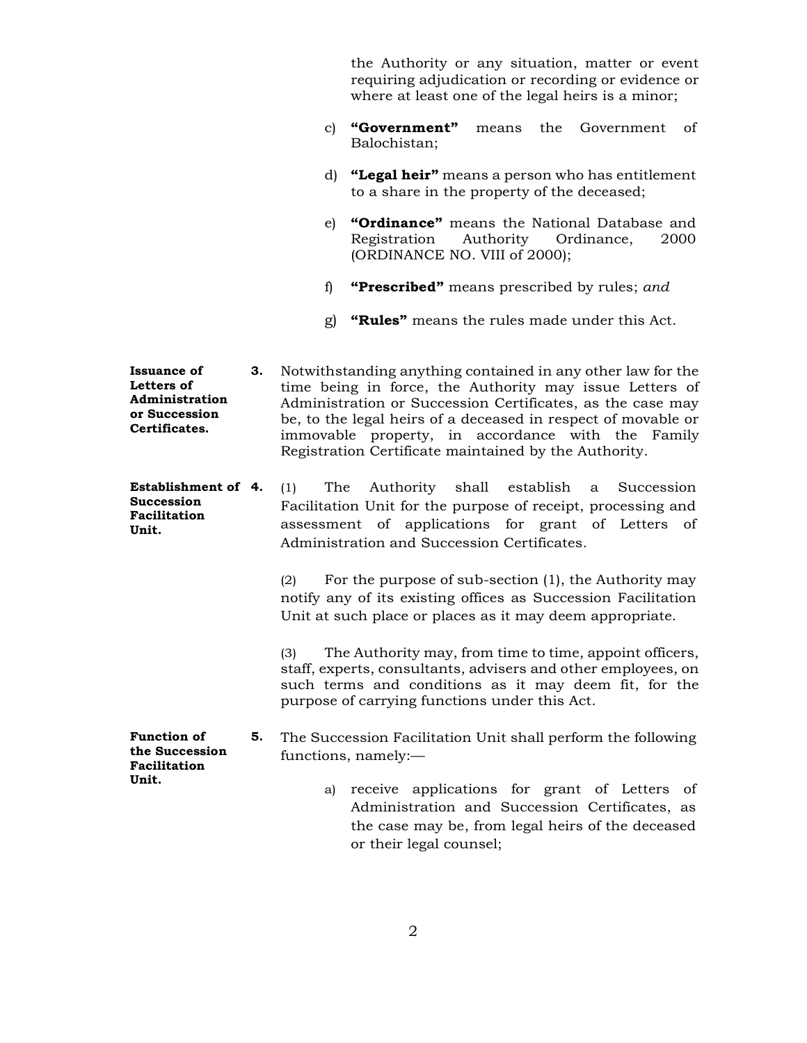the Authority or any situation, matter or event requiring adjudication or recording or evidence or where at least one of the legal heirs is a minor;

- c) **"Government"** means the Government of Balochistan;
- d) **"Legal heir"** means a person who has entitlement to a share in the property of the deceased;
- e) **"Ordinance"** means the National Database and Registration Authority Ordinance, 2000 (ORDINANCE NO. VIII of 2000);
- f) **"Prescribed"** means prescribed by rules; *and*
- g) **"Rules"** means the rules made under this Act.
- **Issuance of Letters of Administration or Succession Certificates. 3.** Notwithstanding anything contained in any other law for the time being in force, the Authority may issue Letters of Administration or Succession Certificates, as the case may be, to the legal heirs of a deceased in respect of movable or immovable property, in accordance with the Family Registration Certificate maintained by the Authority.
- **Establishment of Succession Facilitation Unit. 4.** (1) The Authority shall establish a Succession Facilitation Unit for the purpose of receipt, processing and assessment of applications for grant of Letters of Administration and Succession Certificates.

(2) For the purpose of sub-section (1), the Authority may notify any of its existing offices as Succession Facilitation Unit at such place or places as it may deem appropriate.

(3) The Authority may, from time to time, appoint officers, staff, experts, consultants, advisers and other employees, on such terms and conditions as it may deem fit, for the purpose of carrying functions under this Act.

**Function of the Succession Facilitation 5.** The Succession Facilitation Unit shall perform the following functions, namely:—

**Unit.**

a) receive applications for grant of Letters of Administration and Succession Certificates, as the case may be, from legal heirs of the deceased or their legal counsel;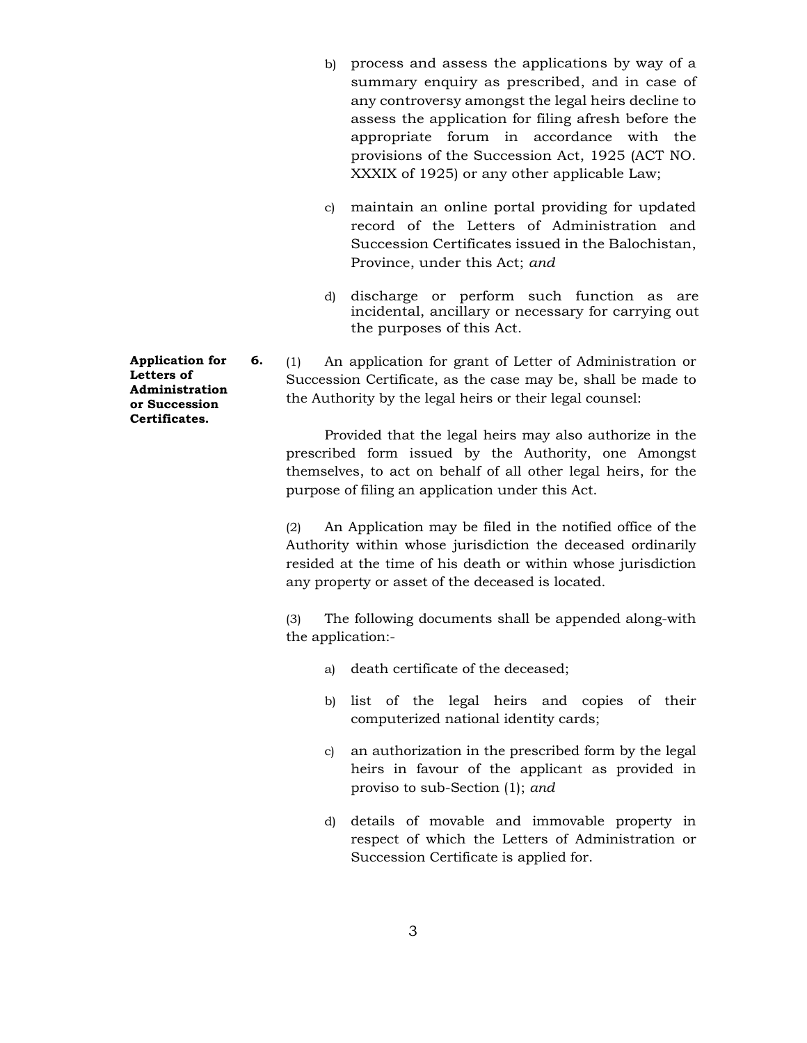- b) process and assess the applications by way of a summary enquiry as prescribed, and in case of any controversy amongst the legal heirs decline to assess the application for filing afresh before the appropriate forum in accordance with the provisions of the Succession Act, 1925 (ACT NO. XXXIX of 1925) or any other applicable Law;
- c) maintain an online portal providing for updated record of the Letters of Administration and Succession Certificates issued in the Balochistan, Province, under this Act; *and*
- d) discharge or perform such function as are incidental, ancillary or necessary for carrying out the purposes of this Act.

**6.** (1) An application for grant of Letter of Administration or Succession Certificate, as the case may be, shall be made to the Authority by the legal heirs or their legal counsel:

> Provided that the legal heirs may also authorize in the prescribed form issued by the Authority, one Amongst themselves, to act on behalf of all other legal heirs, for the purpose of filing an application under this Act.

> (2) An Application may be filed in the notified office of the Authority within whose jurisdiction the deceased ordinarily resided at the time of his death or within whose jurisdiction any property or asset of the deceased is located.

> (3) The following documents shall be appended along-with the application:-

- a) death certificate of the deceased;
- b) list of the legal heirs and copies of their computerized national identity cards;
- c) an authorization in the prescribed form by the legal heirs in favour of the applicant as provided in proviso to sub-Section (1); *and*
- d) details of movable and immovable property in respect of which the Letters of Administration or Succession Certificate is applied for.

**Application for Letters of Administration or Succession Certificates.**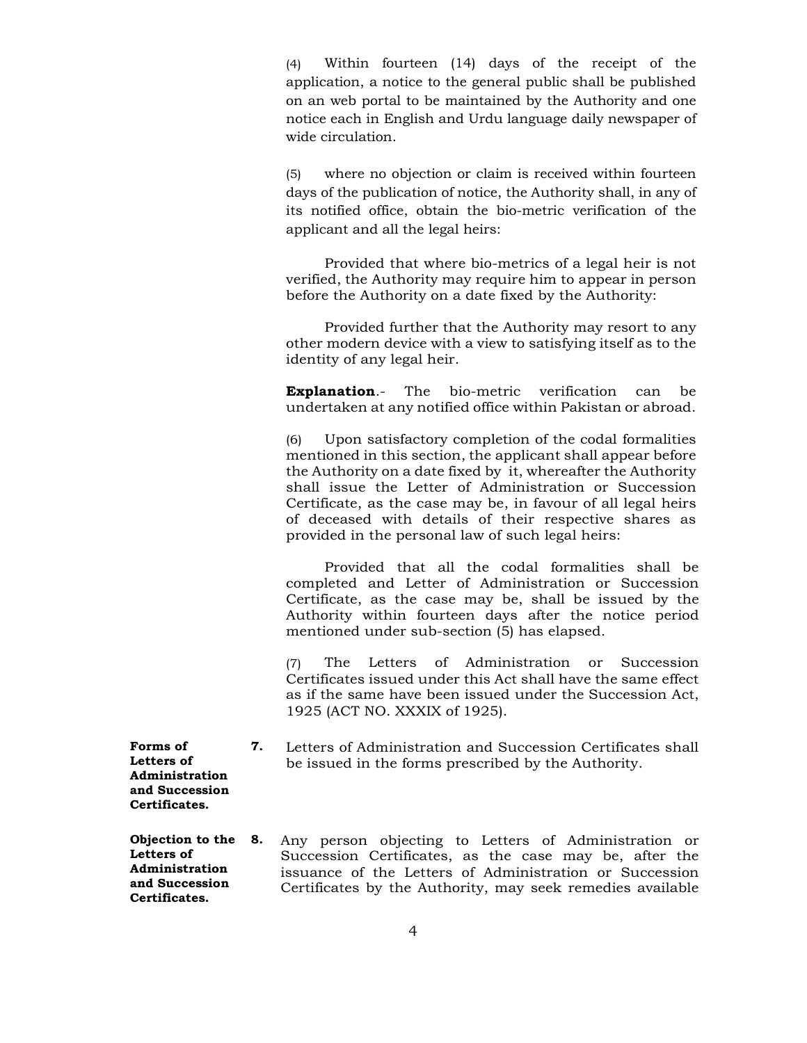(4) Within fourteen (14) days of the receipt of the application, a notice to the general public shall be published on an web portal to be maintained by the Authority and one notice each in English and Urdu language daily newspaper of wide circulation.

(5) where no objection or claim is received within fourteen days of the publication of notice, the Authority shall, in any of its notified office, obtain the bio-metric verification of the applicant and all the legal heirs:

Provided that where bio-metrics of a legal heir is not verified, the Authority may require him to appear in person before the Authority on a date fixed by the Authority:

Provided further that the Authority may resort to any other modern device with a view to satisfying itself as to the identity of any legal heir.

**Explanation**.- The bio-metric verification can be undertaken at any notified office within Pakistan or abroad.

(6) Upon satisfactory completion of the codal formalities mentioned in this section, the applicant shall appear before the Authority on a date fixed by it, whereafter the Authority shall issue the Letter of Administration or Succession Certificate, as the case may be, in favour of all legal heirs of deceased with details of their respective shares as provided in the personal law of such legal heirs:

Provided that all the codal formalities shall be completed and Letter of Administration or Succession Certificate, as the case may be, shall be issued by the Authority within fourteen days after the notice period mentioned under sub-section (5) has elapsed.

(7) The Letters of Administration or Succession Certificates issued under this Act shall have the same effect as if the same have been issued under the Succession Act, 1925 (ACT NO. XXXIX of 1925).

**7.** Letters of Administration and Succession Certificates shall be issued in the forms prescribed by the Authority.

**Forms of Letters of Administration and Succession Certificates.**

**Objection to the Letters of Administration and Succession Certificates. 8.** Any person objecting to Letters of Administration or Succession Certificates, as the case may be, after the issuance of the Letters of Administration or Succession Certificates by the Authority, may seek remedies available